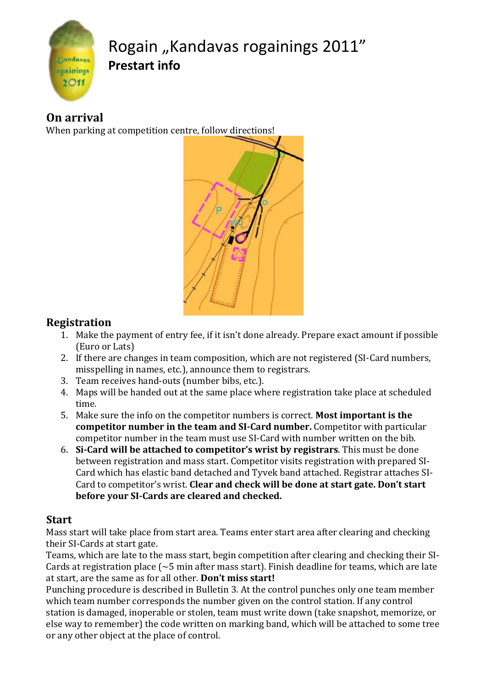

# Rogain "Kandavas rogainings 2011" **Prestart info o**

### **On arrival**

When parking at competition c entre, follow directions!



### **Registration**

- 1. Make the payment of entry fee, if it isn't done already. Prepare exact amount if possible (Euro or Lats)
- 2. If there are changes in team composition, which are not registered (SI-Card numbers, misspelling in names, etc.), announce them to registrars.
- 3. Team receives hand-outs (number bibs, etc.).
- 4. Maps will be handed out at the same place where registration take place at scheduled time.
- 5. Make sure the info on th he competitor numbers is correct. **Most im portant is the competitor number in the team and SICard number.** Competit tor with particular competitor number in the team must use SI-Card with number written on the bib.
- 6. **SiCard will be attache d to competitor's wrist by registrars**. Th his must be done between registration an d mass start. Competitor visits registration n with prepared SI‐ Card which has elastic b and detached and Tyvek band attached. Re egistrar attaches SI‐ Card to competitor's wrist. Clear and check will be done at start gate. Don't start **before your SICards a re cleared and checked.**

#### **Start**

Mass start will take place from start area. Teams enter start area after clearing and checking their SI‐Cards at start gate.

Teams, which are late to the mass start, begin competition after clearing and checking their SI-Cards at registration place  $({\sim}5$  min after mass start). Finish deadline for teams, which are late at start, are the same as for all other. **Don't miss start!** 

Punching procedure is described in Bulletin 3. At the control punches only one team member which team number corresponds the number given on the control station. If any control station is damaged, inoperable or stolen, team must write down (take snapshot, memorize, or else way to remember) the code written on marking band, which will be attached to some tree or any other object at the place of control.